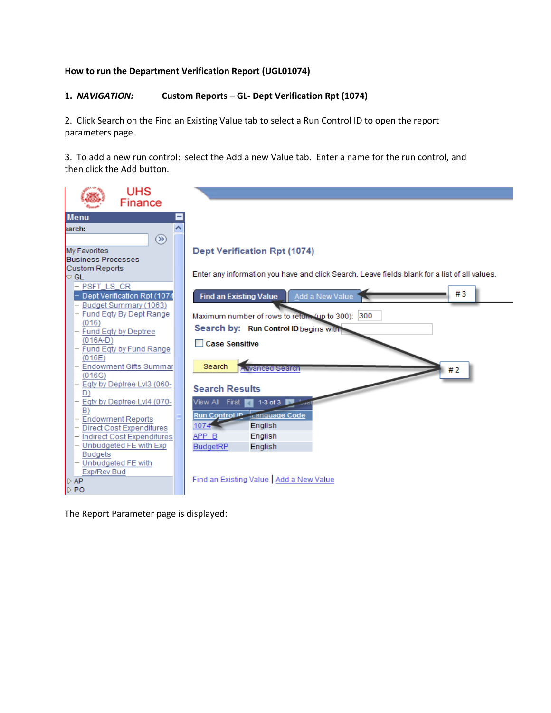## **How to run the Department Verification Report (UGL01074)**

### **1.** *NAVIGATION:* **Custom Reports – GL- Dept Verification Rpt (1074)**

2. Click Search on the Find an Existing Value tab to select a Run Control ID to open the report parameters page.

3. To add a new run control: select the Add a new Value tab. Enter a name for the run control, and then click the Add button.

| <b>UHS</b><br>Finance                                |                                                                                               |
|------------------------------------------------------|-----------------------------------------------------------------------------------------------|
| <b>Menu</b>                                          |                                                                                               |
| earch:                                               |                                                                                               |
| $\circledcirc$                                       |                                                                                               |
| My Favorites                                         | <b>Dept Verification Rpt (1074)</b>                                                           |
| <b>Business Processes</b>                            |                                                                                               |
| <b>Custom Reports</b>                                |                                                                                               |
| $\triangleright$ GL                                  | Enter any information you have and click Search. Leave fields blank for a list of all values. |
| - PSFT LS CR                                         | #3                                                                                            |
| Dept Verification Rpt (1074                          | Add a New Value<br><b>Find an Existing Value</b>                                              |
| Budget Summary (1063)<br>Fund Eqty By Dept Range     |                                                                                               |
| (016)                                                | Maximum number of rows to return (up to 300): 300                                             |
| Fund Eqty by Deptree                                 | Search by: Run Control ID begins with                                                         |
| $(016A-D)$                                           | <b>Case Sensitive</b>                                                                         |
| Fund Eqty by Fund Range                              |                                                                                               |
| (016E)                                               |                                                                                               |
| <b>Endowment Gifts Summar</b><br>(016G)              | Search<br><b>A.Jivanced Search</b><br>#2                                                      |
| Eqty by Deptree LvI3 (060-                           |                                                                                               |
| D)                                                   | <b>Search Results</b>                                                                         |
| Eqty by Deptree Lvl4 (070-                           | View All First<br>1-3 of 3                                                                    |
| B)                                                   | <b>Run Control ID</b><br>canquage Code                                                        |
| <b>Endowment Reports</b>                             | $1074 -$<br>English                                                                           |
| <b>Direct Cost Expenditures</b>                      | APP B<br>English                                                                              |
| Indirect Cost Expenditures<br>Unbudgeted FE with Exp | English                                                                                       |
| <b>Budgets</b>                                       | <b>BudgetRP</b>                                                                               |
| - Unbudgeted FE with                                 |                                                                                               |
| Exp/Rev Bud                                          |                                                                                               |
| $\triangleright$ AP                                  | Find an Existing Value   Add a New Value                                                      |
| $\triangleright$ PO                                  |                                                                                               |

The Report Parameter page is displayed: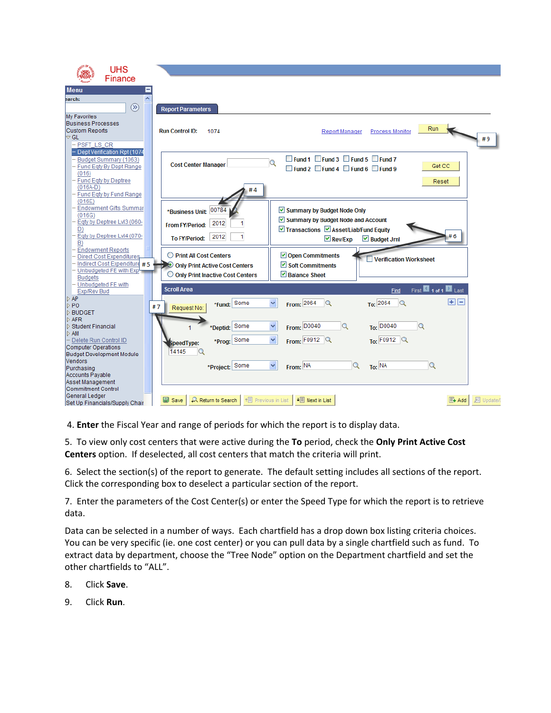| <b>UHS</b>                                                      |                                                         |                                                                   |
|-----------------------------------------------------------------|---------------------------------------------------------|-------------------------------------------------------------------|
| Finance                                                         |                                                         |                                                                   |
| <b>Menu</b>                                                     |                                                         |                                                                   |
| earch:                                                          |                                                         |                                                                   |
| $\circledR$                                                     | <b>Report Parameters</b>                                |                                                                   |
| My Favorites                                                    |                                                         |                                                                   |
| <b>Business Processes</b>                                       |                                                         |                                                                   |
| <b>Custom Reports</b>                                           | <b>Run Control ID:</b><br>1074                          | Run<br><b>Report Manager</b><br><b>Process Monitor</b>            |
| $\triangledown$ GL                                              |                                                         | #9                                                                |
| - PSFT LS CR                                                    |                                                         |                                                                   |
| - Dept Verification Rpt (1074                                   |                                                         |                                                                   |
| Budget Summary (1063)                                           |                                                         | ■ Fund 1 Fund 3 Fund 5 Fund 7<br>$\mathbf Q$                      |
| Fund Eqty By Dept Range                                         | <b>Cost Center Manager</b>                              | Get CC<br>$\Box$ Fund 2 $\Box$ Fund 4 $\Box$ Fund 6 $\Box$ Fund 9 |
| (016)                                                           |                                                         |                                                                   |
| Fund Eqty by Deptree<br>$(016A-D)$                              |                                                         | Reset                                                             |
| Fund Eqty by Fund Range                                         | #4                                                      |                                                                   |
| (016E)                                                          |                                                         |                                                                   |
| Endowment Gifts Summar                                          | *Business Unit: 00784                                   | ☑ Summary by Budget Node Only                                     |
| (016G)                                                          |                                                         |                                                                   |
| Eqty by Deptree LvI3 (060-                                      | 2012<br>1<br><b>From FY/Period:</b>                     | Summary by Budget Node and Account                                |
| D)                                                              |                                                         | ■ Transactions ■ Asset/Liab/Fund Equity                           |
| Eqty by Deptree Lvl4 (070-<br>B)                                | 2012<br>1<br><b>To FY/Period:</b>                       | #6<br>$\boxdot$ Rev/Exp<br>$\triangleright$ Budget Jrnl           |
| <b>Endowment Reports</b>                                        |                                                         |                                                                   |
| Direct Cost Expenditures                                        | ◯ Print All Cost Centers                                | $\triangledown$ Open Commitments<br>Verification Worksheet        |
| Indirect Cost Expenditure #5                                    | Only Print Active Cost Centers                          | $\triangleright$ Soft Commitments                                 |
| Unbudgeted FE with Exp                                          | O Only Print Inactive Cost Centers                      | ■ Balance Sheet                                                   |
| <b>Budgets</b>                                                  |                                                         |                                                                   |
| - Unbudgeted FE with<br><b>Exp/Rev Bud</b>                      | <b>Scroll Area</b>                                      | First 1 of 1 2 Last<br>Find                                       |
| $\triangleright$ AP                                             |                                                         |                                                                   |
| $\triangleright$ PO                                             | *Fund: Some<br>#7                                       | 田田<br>From: $2064$ Q<br>To: 2064<br>v<br>$\alpha$                 |
| I⊳ BUDGET                                                       | Request No:                                             |                                                                   |
| ID AFR                                                          |                                                         |                                                                   |
| D Student Financial                                             | *Deptid: Some                                           | $\alpha$<br>To: D0040<br>$\mathbf Q$<br>From: D0040               |
| I⊳ AM                                                           |                                                         | $\checkmark$                                                      |
| - Delete Run Control ID<br><b>Computer Operations</b>           | *Prog: Some<br>speedType:                               | To: $F0912$ Q<br>From: $F0912$ Q                                  |
| <b>Budget Development Module</b>                                | 14145<br>Q                                              |                                                                   |
| <b>Vendors</b>                                                  |                                                         |                                                                   |
| Purchasing                                                      | *Project:                                               |                                                                   |
| Accounts Payable                                                |                                                         |                                                                   |
|                                                                 |                                                         |                                                                   |
|                                                                 |                                                         |                                                                   |
| Set Up Financials/Supply Chair                                  | 相 Previous in List<br><b>B</b> Save<br>Return to Search | $\downarrow \equiv$ Next in List<br>周 Update/L<br>图+ Add          |
| Asset Management<br><b>Commitment Control</b><br>General Ledger | Some                                                    | $\alpha$<br>v<br>$\alpha$<br>To: NA<br>From: NA                   |

4. **Enter** the Fiscal Year and range of periods for which the report is to display data.

5. To view only cost centers that were active during the **To** period, check the **Only Print Active Cost Centers** option. If deselected, all cost centers that match the criteria will print.

6. Select the section(s) of the report to generate. The default setting includes all sections of the report. Click the corresponding box to deselect a particular section of the report.

7. Enter the parameters of the Cost Center(s) or enter the Speed Type for which the report is to retrieve data.

Data can be selected in a number of ways. Each chartfield has a drop down box listing criteria choices. You can be very specific (ie. one cost center) or you can pull data by a single chartfield such as fund. To extract data by department, choose the "Tree Node" option on the Department chartfield and set the other chartfields to "ALL".

- 8. Click **Save**.
- 9. Click **Run**.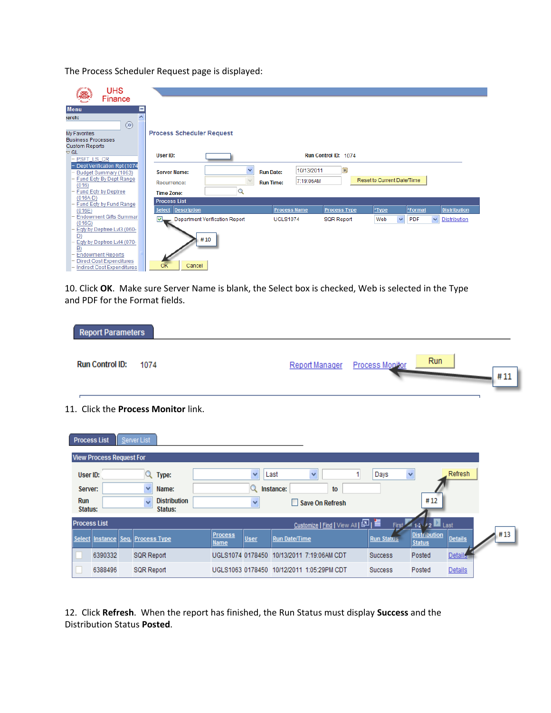The Process Scheduler Request page is displayed:

| <b>UHS</b><br>Finance                                                                                                                                         |                                                                                                    |                                                                                 |                                          |                                                |                                                            |
|---------------------------------------------------------------------------------------------------------------------------------------------------------------|----------------------------------------------------------------------------------------------------|---------------------------------------------------------------------------------|------------------------------------------|------------------------------------------------|------------------------------------------------------------|
| <b>Menu</b><br>Ą<br>earch:<br>$($ ssong $($ ssong $($ ssong $)$<br>My Favorites<br><b>Business Processes</b>                                                  | <b>Process Scheduler Request</b>                                                                   |                                                                                 |                                          |                                                |                                                            |
| <b>Custom Reports</b><br>$\triangledown$ GL<br>- PSFT LS CR                                                                                                   | User ID:                                                                                           |                                                                                 | Run Control ID: 1074                     |                                                |                                                            |
| - Dept Verification Rpt (1074<br>- Budget Summary (1063)<br>- Fund Eqty By Dept Range<br>(016)<br>- Fund Eqty by Deptree                                      | <b>Server Name:</b><br>Recurrence:<br><b>Time Zone:</b>                                            | $\checkmark$<br>10/13/2011<br><b>Run Date:</b><br>7:19:06AM<br><b>Run Time:</b> | $\overline{\mathbf{31}}$                 | Reset to Current Date/Time                     |                                                            |
| $(016A-D)$<br>- Fund Eqty by Fund Range<br>(016E)<br>- Endowment Gifts Summar<br>(016G)                                                                       | <b>Process List</b><br><b>Description</b><br><b>Select</b><br>Department Verification Report<br>u, | <b>Process Name</b><br><b>UGLS1074</b>                                          | <b>Process Type</b><br><b>SQR Report</b> | *Type<br>*Format<br>$\checkmark$<br>PDF<br>Web | <b>Distribution</b><br>$\checkmark$<br><b>Distribution</b> |
| - Eqty by Deptree Lvl3 (060-<br>D)<br>- Eqty by Deptree LvI4 (070-<br>B)<br>- Endowment Reports<br>- Direct Cost Expenditures<br>- Indirect Cost Expenditures | #10<br>OK<br>Cancel                                                                                |                                                                                 |                                          |                                                |                                                            |

10. Click **OK**. Make sure Server Name is blank, the Select box is checked, Web is selected in the Type and PDF for the Format fields.

| <b>Report Parameters</b> |                                         |                                |            |
|--------------------------|-----------------------------------------|--------------------------------|------------|
| <b>Run Control ID:</b>   | 1074                                    | Report Manager Process Monitor | Run<br>#11 |
|                          | 1 Click the <b>Drococc Monitor</b> link |                                |            |

11. Click the **Process Monitor** link.

| <b>Process List</b>               | Server List                         |                                |                                           |                   |                                                 |
|-----------------------------------|-------------------------------------|--------------------------------|-------------------------------------------|-------------------|-------------------------------------------------|
| <b>View Process Request For</b>   |                                     |                                |                                           |                   |                                                 |
| User ID:                          | Type:                               | $\checkmark$                   | Last<br>v                                 | Days              | Refresh<br>$\checkmark$                         |
| Server:                           | Name:<br>v                          |                                | Instance:<br>to                           |                   |                                                 |
| Run<br>Status:                    | <b>Distribution</b><br>$\mathbf{v}$ | v                              | Save On Refresh                           |                   | #12                                             |
| <b>Process List</b>               | Status:                             |                                |                                           |                   |                                                 |
|                                   |                                     |                                | Customize   Find   View All   조미          | First             | $\mathbb{Z}_{12}$ $\mathbb{Z}_{2}$ Last         |
| Select Instance Seq. Process Type |                                     | <b>Process</b><br>User<br>Name | <b>Run Date/Time</b>                      | <b>Run Status</b> | <b>Distribution</b><br>Details<br><b>Status</b> |
| 6390332                           | <b>SQR Report</b>                   |                                | UGLS1074 0178450 10/13/2011 7:19:06AM CDT | <b>Success</b>    | Details<br>Posted                               |
| 6388496                           | <b>SQR Report</b>                   |                                | UGLS1063 0178450 10/12/2011 1:05:29PM CDT | <b>Success</b>    | Posted<br><b>Details</b>                        |

12. Click **Refresh**. When the report has finished, the Run Status must display **Success** and the Distribution Status **Posted**.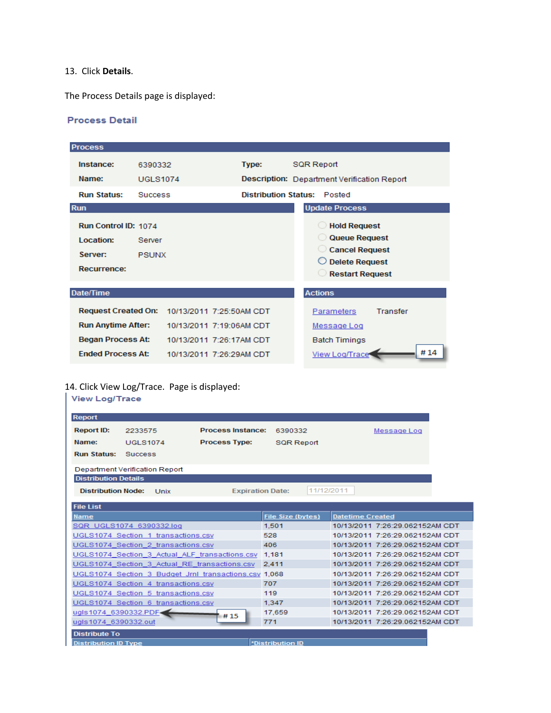### 13. Click **Details**.

The Process Details page is displayed:

#### **Process Detail**

| <b>Process</b>                                              |                        |                          |                             |                                                                                                           |          |     |
|-------------------------------------------------------------|------------------------|--------------------------|-----------------------------|-----------------------------------------------------------------------------------------------------------|----------|-----|
| Instance:                                                   | 6390332                |                          | Type:                       | <b>SQR Report</b>                                                                                         |          |     |
| Name:                                                       | <b>UGLS1074</b>        |                          |                             | Description: Department Verification Report                                                               |          |     |
| <b>Run Status:</b>                                          | <b>Success</b>         |                          | <b>Distribution Status:</b> | Posted                                                                                                    |          |     |
| <b>Run</b>                                                  |                        |                          |                             | <b>Update Process</b>                                                                                     |          |     |
| Run Control ID: 1074<br>Location:<br>Server:<br>Recurrence: | Server<br><b>PSUNX</b> |                          |                             | <b>Hold Request</b><br>Queue Request<br>Cancel Request<br><b>Delete Request</b><br><b>Restart Request</b> |          |     |
| Date/Time                                                   |                        |                          |                             | <b>Actions</b>                                                                                            |          |     |
|                                                             |                        |                          |                             |                                                                                                           |          |     |
| <b>Request Created On:</b>                                  |                        | 10/13/2011 7:25:50AM CDT |                             | Parameters                                                                                                | Transfer |     |
| <b>Run Anytime After:</b>                                   |                        | 10/13/2011 7:19:06AM CDT |                             | Message Log                                                                                               |          |     |
| <b>Began Process At:</b>                                    |                        | 10/13/2011 7:26:17AM CDT |                             | <b>Batch Timings</b>                                                                                      |          |     |
| <b>Fnded Process At:</b>                                    |                        | 10/13/2011 7:26:29AM CDT |                             | <b>View Log/Trace</b>                                                                                     |          | #14 |

# 14. Click View Log/Trace. Page is displayed:

| <b>View Log/Trace</b>                          |                                                       |                          |                   |                                 |  |  |
|------------------------------------------------|-------------------------------------------------------|--------------------------|-------------------|---------------------------------|--|--|
| Report                                         |                                                       |                          |                   |                                 |  |  |
|                                                |                                                       | <b>Process Instance:</b> |                   |                                 |  |  |
| <b>Report ID:</b>                              | 2233575                                               |                          | 6390332           | Message Log                     |  |  |
| Name:                                          | <b>UGLS1074</b>                                       | <b>Process Type:</b>     | <b>SQR Report</b> |                                 |  |  |
| <b>Run Status:</b>                             | <b>Success</b>                                        |                          |                   |                                 |  |  |
|                                                | Department Verification Report                        |                          |                   |                                 |  |  |
| <b>Distribution Details</b>                    |                                                       |                          |                   |                                 |  |  |
| <b>Distribution Node:</b>                      | Unix                                                  | <b>Expiration Date:</b>  | 11/12/2011        |                                 |  |  |
|                                                |                                                       |                          |                   |                                 |  |  |
| <b>File List</b>                               |                                                       |                          |                   |                                 |  |  |
| <b>Name</b>                                    |                                                       |                          | File Size (bytes) | <b>Datetime Created</b>         |  |  |
|                                                | SQR UGLS1074 6390332.log                              |                          | 1.501             | 10/13/2011 7:26:29.062152AM CDT |  |  |
|                                                | UGLS1074 Section 1 transactions.csv                   |                          | 528               | 10/13/2011 7:26:29.062152AM CDT |  |  |
|                                                | UGLS1074 Section 2 transactions.csv                   |                          | 406               | 10/13/2011 7:26:29 062152AM CDT |  |  |
| UGLS1074 Section 3 Actual ALF transactions.csv |                                                       |                          | 1,181             | 10/13/2011 7:26:29.062152AM CDT |  |  |
|                                                | UGLS1074_Section_3_Actual_RE_transactions.csv         |                          | 2.411             | 10/13/2011 7:26:29.062152AM CDT |  |  |
|                                                | UGLS1074 Section 3 Budget Jrnl transactions.csv 1,068 |                          |                   | 10/13/2011 7:26:29.062152AM CDT |  |  |
|                                                | UGLS1074 Section 4 transactions.csv                   |                          | 707               | 10/13/2011 7:26:29.062152AM CDT |  |  |
|                                                | UGLS1074 Section 5 transactions.csv                   |                          | 119               | 10/13/2011 7:26:29 062152AM CDT |  |  |
|                                                | UGLS1074 Section 6 transactions.csv                   |                          | 1.347             | 10/13/2011 7:26:29.062152AM CDT |  |  |
| ugls1074_6390332.PDF<                          |                                                       | #15                      | 17,659            | 10/13/2011 7:26:29.062152AM CDT |  |  |
| ugls1074 6390332.out                           |                                                       |                          | 771               | 10/13/2011 7:26:29.062152AM CDT |  |  |
| <b>Distribute To</b>                           |                                                       |                          |                   |                                 |  |  |
| <b>Distribution ID Type</b>                    |                                                       |                          | *Distribution ID  |                                 |  |  |